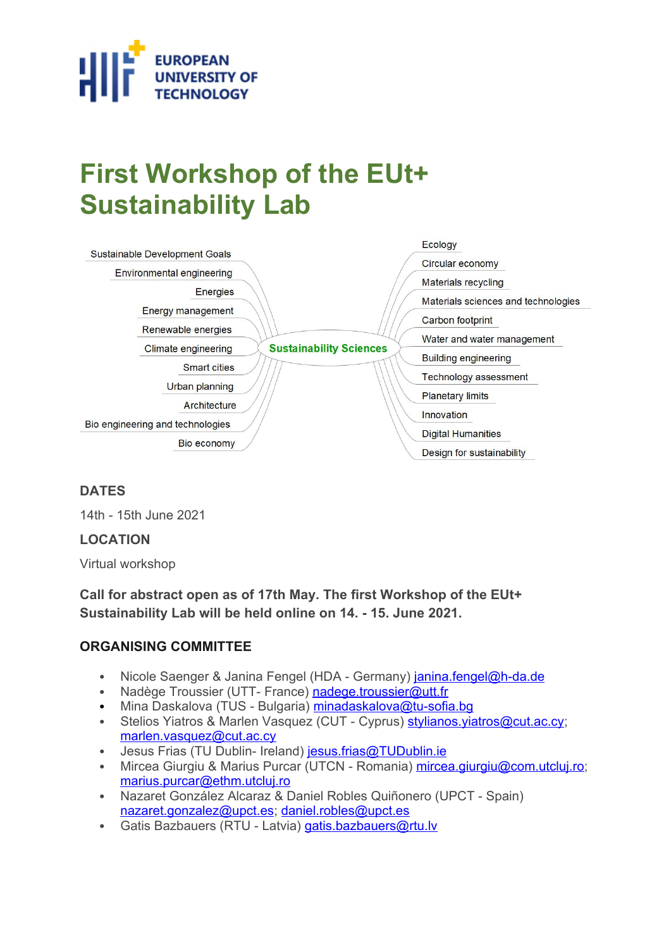

# **First Workshop of the EUt+ Sustainability Lab**

| Sustainable Development Goals    |                                | Ecology                             |
|----------------------------------|--------------------------------|-------------------------------------|
| Environmental engineering        |                                | Circular economy                    |
|                                  |                                | <b>Materials recycling</b>          |
| Energies                         |                                | Materials sciences and technologies |
| Energy management                |                                |                                     |
|                                  |                                | Carbon footprint                    |
| Renewable energies               |                                | Water and water management          |
| Climate engineering              | <b>Sustainability Sciences</b> |                                     |
| <b>Smart cities</b>              |                                | <b>Building engineering</b>         |
|                                  |                                | Technology assessment               |
| Urban planning                   |                                |                                     |
| Architecture                     |                                | <b>Planetary limits</b>             |
|                                  |                                | Innovation                          |
| Bio engineering and technologies |                                | <b>Digital Humanities</b>           |
| Bio economy                      |                                |                                     |
|                                  |                                | Design for sustainability           |

## **DATES**

14th - 15th June 2021

#### **LOCATION**

Virtual workshop

**Call for abstract open as of 17th May. The first Workshop of the EUt+ Sustainability Lab will be held online on 14. - 15. June 2021.**

#### **ORGANISING COMMITTEE**

- Nicole Saenger & Janina Fengel (HDA Germany) [janina.fengel@h-da.de](mailto:janina.fengel@h-da.de)
- Nadège Troussier (UTT- France) nadege.troussier@utt.fr
- Mina Daskalova (TUS Bulgaria) minadaskalova@tu-sofia.bg
- Stelios Yiatros & Marlen Vasquez (CUT Cyprus) stylianos. viatros@cut.ac.cy; [marlen.vasquez@cut.ac.cy](mailto:marlen.vasquez@cut.ac.cy)
- Jesus Frias (TU Dublin- Ireland) [jesus.frias@TUDublin.ie](mailto:Jesus.Frias@TUDublin.ie)
- Mircea Giurgiu & Marius Purcar (UTCN Romania) [mircea.giurgiu@com.utcluj.ro;](mailto:mircea.giurgiu@com.utcluj.ro) [marius.purcar@ethm.utcluj.ro](mailto:Marius.Purcar@ethm.utcluj.ro)
- Nazaret González Alcaraz & Daniel Robles Quiñonero (UPCT Spain) [nazaret.gonzalez@upct.es](mailto:nazaret.gonzalez@upct.es); [daniel.robles@upct.es](mailto:daniel.robles@upct.es)
- Gatis Bazbauers (RTU Latvia) [gatis.bazbauers@rtu.lv](mailto:gatis.bazbauers@rtu.lv)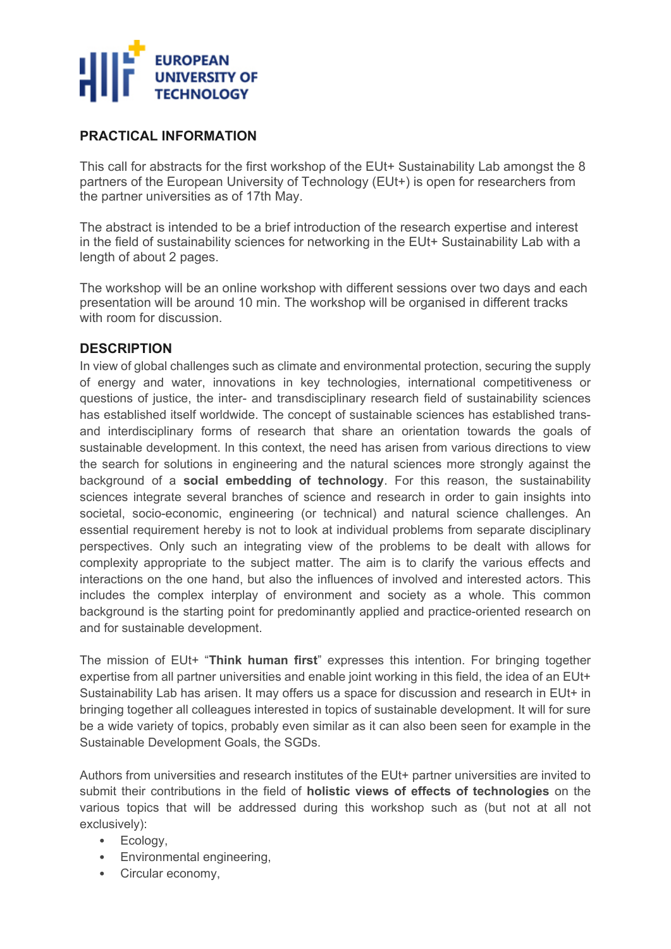

## **PRACTICAL INFORMATION**

This call for abstracts for the first workshop of the EUt+ Sustainability Lab amongst the 8 partners of the European University of Technology (EUt+) is open for researchers from the partner universities as of 17th May.

The abstract is intended to be a brief introduction of the research expertise and interest in the field of sustainability sciences for networking in the EUt+ Sustainability Lab with a length of about 2 pages.

The workshop will be an online workshop with different sessions over two days and each presentation will be around 10 min. The workshop will be organised in different tracks with room for discussion

#### **DESCRIPTION**

In view of global challenges such as climate and environmental protection, securing the supply of energy and water, innovations in key technologies, international competitiveness or questions of justice, the inter- and transdisciplinary research field of sustainability sciences has established itself worldwide. The concept of sustainable sciences has established transand interdisciplinary forms of research that share an orientation towards the goals of sustainable development. In this context, the need has arisen from various directions to view the search for solutions in engineering and the natural sciences more strongly against the background of a **social embedding of technology**. For this reason, the sustainability sciences integrate several branches of science and research in order to gain insights into societal, socio-economic, engineering (or technical) and natural science challenges. An essential requirement hereby is not to look at individual problems from separate disciplinary perspectives. Only such an integrating view of the problems to be dealt with allows for complexity appropriate to the subject matter. The aim is to clarify the various effects and interactions on the one hand, but also the influences of involved and interested actors. This includes the complex interplay of environment and society as a whole. This common background is the starting point for predominantly applied and practice-oriented research on and for sustainable development.

The mission of EUt+ "**Think human first**" expresses this intention. For bringing together expertise from all partner universities and enable joint working in this field, the idea of an EUt+ Sustainability Lab has arisen. It may offers us a space for discussion and research in EUt+ in bringing together all colleagues interested in topics of sustainable development. It will for sure be a wide variety of topics, probably even similar as it can also been seen for example in the Sustainable Development Goals, the SGDs.

Authors from universities and research institutes of the EUt+ partner universities are invited to submit their contributions in the field of **holistic views of effects of technologies** on the various topics that will be addressed during this workshop such as (but not at all not exclusively):

- Ecology,
- Environmental engineering.
- Circular economy,